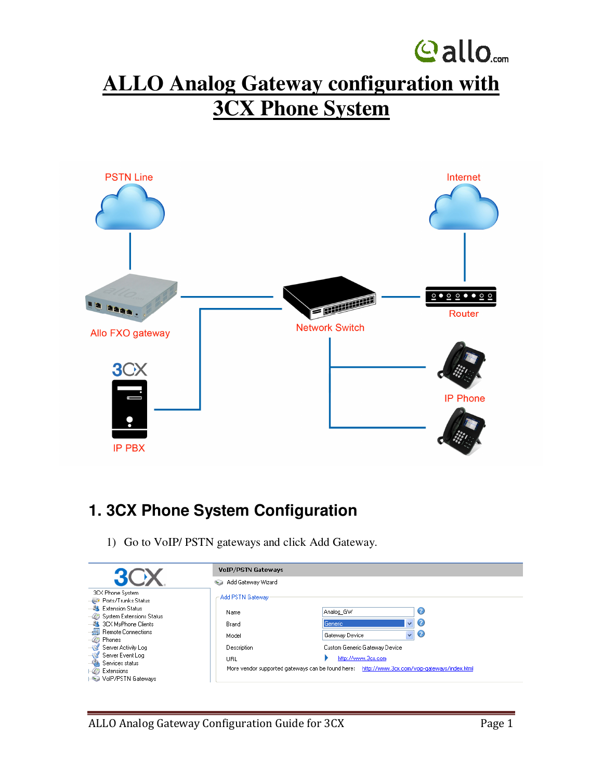## **Gallo**<sub>com</sub> **ALLO Analog Gateway configuration with 3CX Phone System**



## **1. 3CX Phone System Configuration**

1) Go to VoIP/ PSTN gateways and click Add Gateway.

|                                                             | <b>VOIP/PSTN Gateways</b>                  |                                                                                                                     |                              |  |  |  |  |
|-------------------------------------------------------------|--------------------------------------------|---------------------------------------------------------------------------------------------------------------------|------------------------------|--|--|--|--|
|                                                             | Add Gateway Wizard<br>$\sim$ $\rightarrow$ |                                                                                                                     |                              |  |  |  |  |
| 3CX Phone System<br>Ports/Trunks Status                     | Add PSTN Gateway                           |                                                                                                                     |                              |  |  |  |  |
| <b>AL</b> Extension Status<br>System Extensions Status      | Name                                       | Analog GW                                                                                                           | Ø                            |  |  |  |  |
| ---端 3CX MyPhone Clients                                    | Brand                                      | Generic                                                                                                             | $\mathbf{C}$<br>$\checkmark$ |  |  |  |  |
| <b>Remote Connections</b><br>$-07$<br>Phones                | Model                                      | Gateway Device                                                                                                      | $\checkmark$<br>Ø            |  |  |  |  |
| Server Activity Log                                         | Description                                | Custom Generic Gateway Device                                                                                       |                              |  |  |  |  |
| Server Event Log<br>Services status<br><b>Co</b> Extensions | URL                                        | http://www.3cx.com<br>More vendor supported gateways can be found here: http://www.3cx.com/voip-gateways/index.html |                              |  |  |  |  |
| VolP/PSTN Gateways                                          |                                            |                                                                                                                     |                              |  |  |  |  |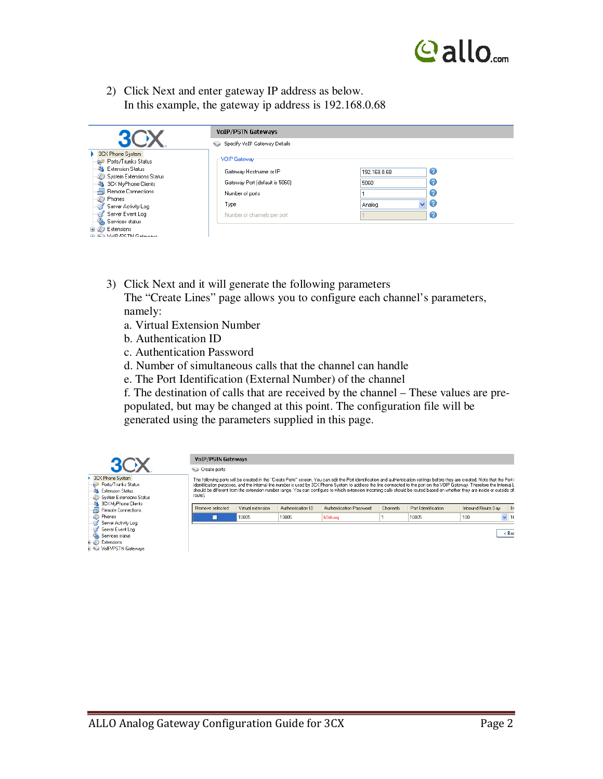

2) Click Next and enter gateway IP address as below. In this example, the gateway ip address is 192.168.0.68

|                                                 | <b>VOIP/PSTN Gateways</b>                |              |             |  |  |  |  |  |
|-------------------------------------------------|------------------------------------------|--------------|-------------|--|--|--|--|--|
|                                                 | Specify VoIP Gateway Details<br>$\sim$ 3 |              |             |  |  |  |  |  |
| 3CX Phone System<br>Ports/Trunks Status         | -VOIP Gateway                            |              |             |  |  |  |  |  |
| <b>Extension Status</b>                         | Gateway Hostname or IP                   | 192.168.0.68 | Ø           |  |  |  |  |  |
| System Extensions Status<br>3CX MyPhone Clients | Gateway Port (default is 5060)           | 5060         | 3           |  |  |  |  |  |
| 刪<br>Remote Connections                         | Number of ports                          |              | 3           |  |  |  |  |  |
| Phones<br>US.                                   | Type                                     | Analog       | $\vee$<br>C |  |  |  |  |  |
| Server Activity Log                             |                                          |              |             |  |  |  |  |  |
| Server Event Log                                | Number of channels per port              |              | Ø           |  |  |  |  |  |
| Services status                                 |                                          |              |             |  |  |  |  |  |
| Extensions                                      |                                          |              |             |  |  |  |  |  |
| <b>CONSTRUCT MC Homes</b>                       |                                          |              |             |  |  |  |  |  |

3) Click Next and it will generate the following parameters

The "Create Lines" page allows you to configure each channel's parameters, namely:

- a. Virtual Extension Number
- b. Authentication ID
- c. Authentication Password
- d. Number of simultaneous calls that the channel can handle
- e. The Port Identification (External Number) of the channel

f. The destination of calls that are received by the channel – These values are prepopulated, but may be changed at this point. The configuration file will be generated using the parameters supplied in this page.

|                                                                                                       | <b>VoIP/PSTN Gateways</b> |                   |                   |                                                                                                                                                                                                                                                                                                                                                                                                                                                                                                                                           |          |                     |                   |           |
|-------------------------------------------------------------------------------------------------------|---------------------------|-------------------|-------------------|-------------------------------------------------------------------------------------------------------------------------------------------------------------------------------------------------------------------------------------------------------------------------------------------------------------------------------------------------------------------------------------------------------------------------------------------------------------------------------------------------------------------------------------------|----------|---------------------|-------------------|-----------|
|                                                                                                       | Create ports              |                   |                   |                                                                                                                                                                                                                                                                                                                                                                                                                                                                                                                                           |          |                     |                   |           |
| <b>3CX Phone System</b><br>Ports/Trunks Status<br><b>Extension Status</b><br>System Extensions Status | route).                   |                   |                   | The following ports will be created in the "Create Ports" screen. You can edit the Port identification and authentication settings before they are created. Note that the Port i<br>identification purposes, and the internal line number is used by 3CX Phone System to address the line connected to the port on the VOIP Gateway. Therefore the Internal L<br>should be different from the extension number range. You can configure to which extension incoming calls should be routed based on whether they are inside or outside of |          |                     |                   |           |
| 3CX MyPhone Clients<br>Remote Connections                                                             | Remove selected           | Virtual extension | Authentication ID | Authentication Password                                                                                                                                                                                                                                                                                                                                                                                                                                                                                                                   | Channels | Port Identification | Inbound Route Day | l In      |
| <b>Phones</b><br>Server Activity Log                                                                  | ш                         | 10005             | 10005             | <b>b</b> 9stuxg                                                                                                                                                                                                                                                                                                                                                                                                                                                                                                                           |          | 10005               | 100               | $\vee$ 10 |
| Server Event Log<br><b>Services status</b>                                                            |                           |                   |                   |                                                                                                                                                                                                                                                                                                                                                                                                                                                                                                                                           |          |                     |                   | $<$ Bac   |
| <b>B</b> <i>C</i> Extensions<br><b>E-Sa VolP/PSTN Gateways</b>                                        |                           |                   |                   |                                                                                                                                                                                                                                                                                                                                                                                                                                                                                                                                           |          |                     |                   |           |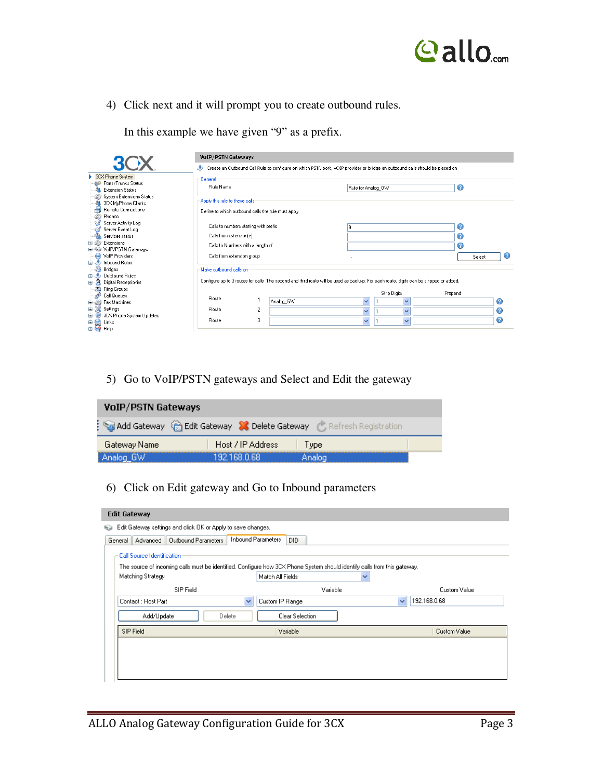

4) Click next and it will prompt you to create outbound rules.

|  |  |  | In this example we have given "9" as a prefix. |  |
|--|--|--|------------------------------------------------|--|
|  |  |  |                                                |  |

|                                                        | <b>VoIP/PSTN Gateways</b>                          |                |                                                                                                                                         |                         |                         |         |             |
|--------------------------------------------------------|----------------------------------------------------|----------------|-----------------------------------------------------------------------------------------------------------------------------------------|-------------------------|-------------------------|---------|-------------|
| 3C <sub>X</sub>                                        | D                                                  |                | Create an Outbound Call Rule to configure on which PSTN port, VOIP provider or bridge an outbound calls should be placed on             |                         |                         |         |             |
| 3CX Phone System                                       | General                                            |                |                                                                                                                                         |                         |                         |         |             |
| Ports/Trunks Status                                    | Rule Name                                          |                |                                                                                                                                         | Rule for Analog GW      |                         | ◙       |             |
| Extension Status                                       |                                                    |                |                                                                                                                                         |                         |                         |         |             |
| System Extensions Status<br>88.<br>3CX MyPhone Clients | Apply this rule to these calls                     |                |                                                                                                                                         |                         |                         |         |             |
| 刪<br>Remote Connections                                |                                                    |                |                                                                                                                                         |                         |                         |         |             |
| Phones                                                 | Define to which outbound calls the rule must apply |                |                                                                                                                                         |                         |                         |         |             |
| Server Activity Log                                    |                                                    |                |                                                                                                                                         |                         |                         |         |             |
| Server Event Log                                       | Calls to numbers starting with prefix              |                |                                                                                                                                         | 9                       |                         | ◙       |             |
| Services status                                        | Calls from extension(s)                            |                |                                                                                                                                         |                         |                         | 0       |             |
| Extensions<br>$\Box$                                   | Calls to Numbers with a length of                  |                |                                                                                                                                         |                         |                         | ❼       |             |
| D VolP/PSTN Gateways                                   |                                                    |                |                                                                                                                                         |                         |                         |         |             |
| <b>M</b> VolP Providers                                | Calls from extension group                         |                |                                                                                                                                         | $\cdots$                |                         |         | 2<br>Select |
| 由 hbound Rules                                         |                                                    |                |                                                                                                                                         |                         |                         |         |             |
| Bridges                                                | Make outhound calls on                             |                |                                                                                                                                         |                         |                         |         |             |
| <b>Ellest</b> OutBound Rules                           |                                                    |                |                                                                                                                                         |                         |                         |         |             |
| <b>R</b> Digital Receptionist<br>œ.                    |                                                    |                | Configure up to 3 routes for calls. The second and third route will be used as backup. For each route, digits can be stripped or added. |                         |                         |         |             |
| <b>33</b> Ring Groups                                  |                                                    |                |                                                                                                                                         |                         |                         |         |             |
| -e3<br>Call Queues                                     | Route                                              |                |                                                                                                                                         |                         | <b>Strip Digits</b>     | Prepend |             |
| El-25 Fax Machines                                     |                                                    |                | Analog GW                                                                                                                               | $\overline{\mathbf{v}}$ | $\checkmark$            |         | ◉           |
| ⊡ ≫<br>Settings                                        | Route                                              | $\overline{c}$ |                                                                                                                                         | $\ddotmark$             | $\ddotmark$             |         | 0           |
| 3CX Phone System Updates<br>Đ                          |                                                    |                |                                                                                                                                         |                         |                         |         |             |
| <b>E</b> So Links<br>E Co Help<br>Links                | Route                                              | 3              |                                                                                                                                         | $\ddotmark$             | $\overline{\mathbf{v}}$ |         | 0           |
|                                                        |                                                    |                |                                                                                                                                         |                         |                         |         |             |

5) Go to VoIP/PSTN gateways and Select and Edit the gateway

| <b>VOIP/PSTN Gateways</b> |                                                                    |        |
|---------------------------|--------------------------------------------------------------------|--------|
|                           | Add Gateway & Edit Gateway X Delete Gateway & Refresh Registration |        |
| Gateway Name              | Host / IP Address                                                  | Tvpe   |
| Analog_GW                 | 192 168 0 68.                                                      | Analog |

6) Click on Edit gateway and Go to Inbound parameters

|         | <b>Edit Gateway</b>        |                                                                                                                          |                           |                  |                 |          |              |              |
|---------|----------------------------|--------------------------------------------------------------------------------------------------------------------------|---------------------------|------------------|-----------------|----------|--------------|--------------|
| ری      |                            | Edit Gateway settings and click OK or Apply to save changes.                                                             |                           |                  |                 |          |              |              |
| General | Advanced                   | Outbound Parameters                                                                                                      | <b>Inbound Parameters</b> | DID.             |                 |          |              |              |
|         | Call Source Identification |                                                                                                                          |                           |                  |                 |          |              |              |
|         |                            | The source of incoming calls must be identified. Configure how 3CX Phone System should identify calls from this gateway. |                           |                  |                 |          |              |              |
|         | Matching Strategy          |                                                                                                                          |                           | Match All Fields |                 |          | v            |              |
|         |                            | SIP Field                                                                                                                |                           |                  |                 | Variable |              | Custom Value |
|         | Contact: Host Part         |                                                                                                                          | $\checkmark$              | Custom IP Range  |                 |          | $\checkmark$ | 192.168.0.68 |
|         | Add/Update                 |                                                                                                                          | Delete                    |                  | Clear Selection |          |              |              |
|         | SIP Field                  |                                                                                                                          |                           | Variable         |                 |          |              | Custom Value |
|         |                            |                                                                                                                          |                           |                  |                 |          |              |              |
|         |                            |                                                                                                                          |                           |                  |                 |          |              |              |
|         |                            |                                                                                                                          |                           |                  |                 |          |              |              |
|         |                            |                                                                                                                          |                           |                  |                 |          |              |              |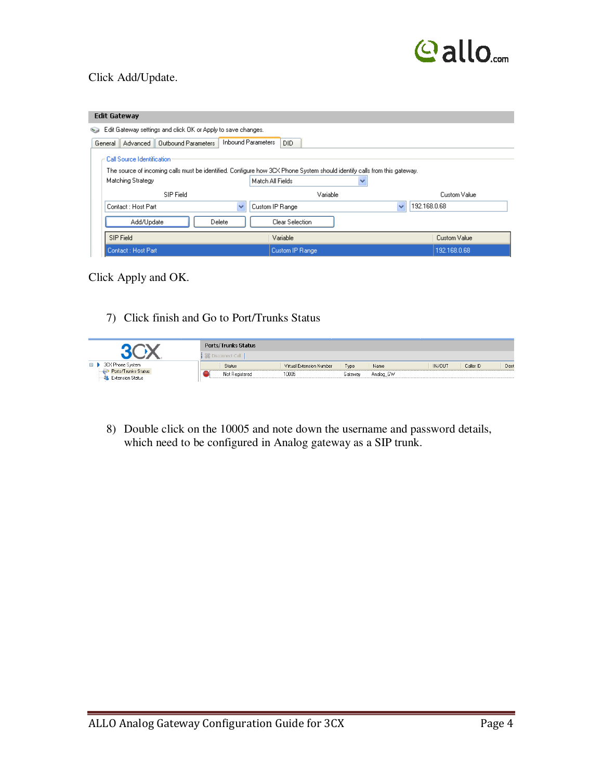

## Click Add/Update.

| <b>Edit Gateway</b>                                                                                                                                                         |                  |              |              |
|-----------------------------------------------------------------------------------------------------------------------------------------------------------------------------|------------------|--------------|--------------|
| Edit Gateway settings and click OK or Apply to save changes.<br>ری                                                                                                          |                  |              |              |
| <b>Inbound Parameters</b><br>Outbound Parameters<br>Advanced<br>General                                                                                                     | DID.             |              |              |
| Call Source Identification<br>The source of incoming calls must be identified. Configure how 3CX Phone System should identify calls from this gateway.<br>Matching Strategy | Match All Fields | v            |              |
| SIP Field                                                                                                                                                                   | Variable         |              | Custom Value |
| Contact : Host Part<br>$\checkmark$                                                                                                                                         | Custom IP Range  | $\checkmark$ | 192.168.0.68 |
| Add/Update<br>Delete                                                                                                                                                        | Clear Selection  |              |              |
| SIP Field                                                                                                                                                                   | Variable         |              | Custom Value |
| Contact: Host Part                                                                                                                                                          | Custom IP Range  |              | 192.168.0.68 |

Click Apply and OK.

7) Click finish and Go to Port/Trunks Status

|                                                | <b>Ports/Trunks Status</b> |                          |         |           |                     |      |
|------------------------------------------------|----------------------------|--------------------------|---------|-----------|---------------------|------|
|                                                | <b>EXA Disconnect Call</b> |                          |         |           |                     |      |
| 3CX Phone System<br>$\Box$                     | Status                     | Virtual Extension Number | Type    | Name      | IN/OUT<br>Caller ID | Dest |
| Ports/Trunks Status<br><b>Extension Status</b> | Not Registered             | 10005                    | Gateway | Analog GW |                     |      |

8) Double click on the 10005 and note down the username and password details, which need to be configured in Analog gateway as a SIP trunk.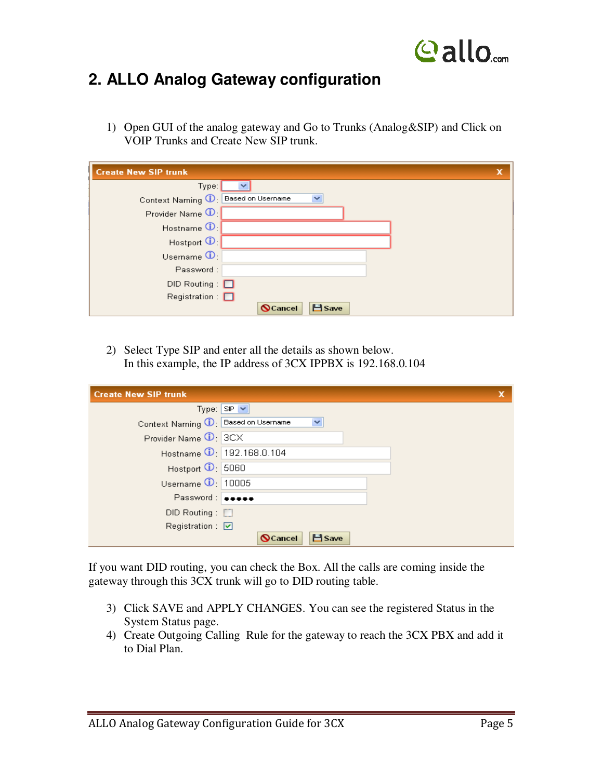

## **2. ALLO Analog Gateway configuration**

1) Open GUI of the analog gateway and Go to Trunks (Analog&SIP) and Click on VOIP Trunks and Create New SIP trunk.

| <b>Create New SIP trunk</b>              | x |
|------------------------------------------|---|
| Type:<br>$\checkmark$                    |   |
| Context Naming 1: Based on Username<br>× |   |
| Provider Name <sup>1</sup> :             |   |
| Hostname $\mathbf{0}$                    |   |
| Hostpon <sup>1</sup>                     |   |
| Usemame $\mathbf{0}$ :                   |   |
| Password:                                |   |
| $DID$ Routing: $\Box$                    |   |
| $Resistration: \Box$                     |   |
| $H$ Save<br><b>Q</b> Cancel              |   |

2) Select Type SIP and enter all the details as shown below. In this example, the IP address of 3CX IPPBX is 192.168.0.104

| <b>Create New SIP trunk</b>                          |  |
|------------------------------------------------------|--|
| Type: $ SP  \vee$                                    |  |
| Context Naming $\mathbf{0}$ : Based on Username<br>× |  |
| Provider Name $\overline{\mathbf{0}}$ : 3CX          |  |
| Hostname 192.168.0.104                               |  |
| Hostport 1 5060                                      |  |
| Usemame 10005                                        |  |
| Password:                                            |  |
| $DID$ Routing: $\Box$                                |  |
| Registration : $\boxed{\triangledown}$               |  |
| $H$ Save<br><b>Q</b> Cancel                          |  |

If you want DID routing, you can check the Box. All the calls are coming inside the gateway through this 3CX trunk will go to DID routing table.

- 3) Click SAVE and APPLY CHANGES. You can see the registered Status in the System Status page.
- 4) Create Outgoing Calling Rule for the gateway to reach the 3CX PBX and add it to Dial Plan.